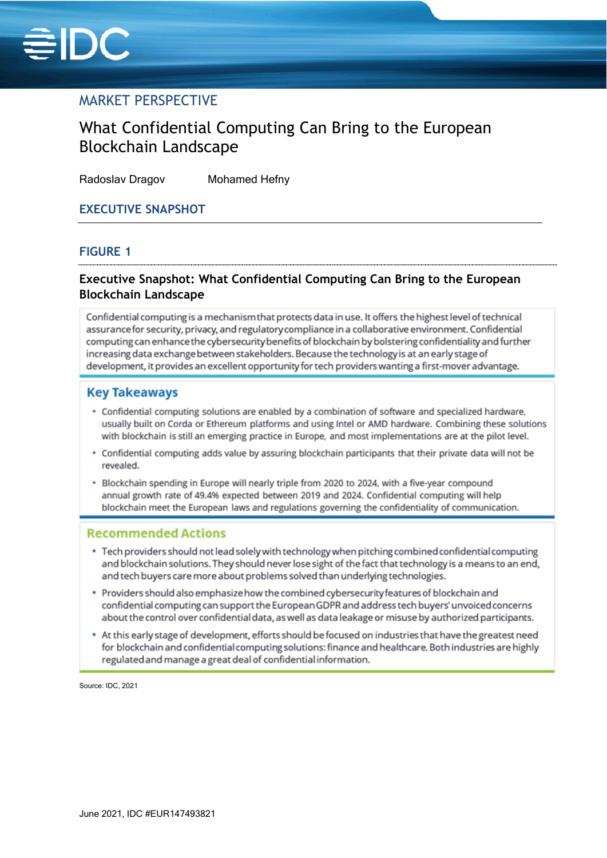

# MARKET PERSPECTIVE

# What Confidential Computing Can Bring to the European Blockchain Landscape

Radoslav Dragov Mohamed Hefny

## **EXECUTIVE SNAPSHOT**

## **FIGURE 1**

# **Executive Snapshot: What Confidential Computing Can Bring to the European Blockchain Landscape**

Confidential computing is a mechanism that protects data in use. It offers the highest level of technical assurance for security, privacy, and regulatory compliance in a collaborative environment. Confidential computing can enhance the cybersecurity benefits of blockchain by bolstering confidentiality and further increasing data exchange between stakeholders. Because the technology is at an early stage of development, it provides an excellent opportunity for tech providers wanting a first-mover advantage.

## **Key Takeaways**

- . Confidential computing solutions are enabled by a combination of software and specialized hardware. usually built on Corda or Ethereum platforms and using Intel or AMD hardware. Combining these solutions with blockchain is still an emerging practice in Europe, and most implementations are at the pilot level.
- Confidential computing adds value by assuring blockchain participants that their private data will not be revealed.
- . Blockchain spending in Europe will nearly triple from 2020 to 2024, with a five-year compound annual growth rate of 49.4% expected between 2019 and 2024. Confidential computing will help blockchain meet the European laws and regulations governing the confidentiality of communication.

## **Recommended Actions**

- . Tech providers should not lead solely with technology when pitching combined confidential computing and blockchain solutions. They should never lose sight of the fact that technology is a means to an end, and tech buyers care more about problems solved than underlying technologies.
- Providers should also emphasize how the combined cybersecurity features of blockchain and confidential computing can support the European GDPR and address tech buyers' unvoiced concerns about the control over confidential data, as well as data leakage or misuse by authorized participants.
- At this early stage of development, efforts should be focused on industries that have the greatest need for blockchain and confidential computing solutions: finance and healthcare. Both industries are highly regulated and manage a great deal of confidential information.

Source: IDC, 2021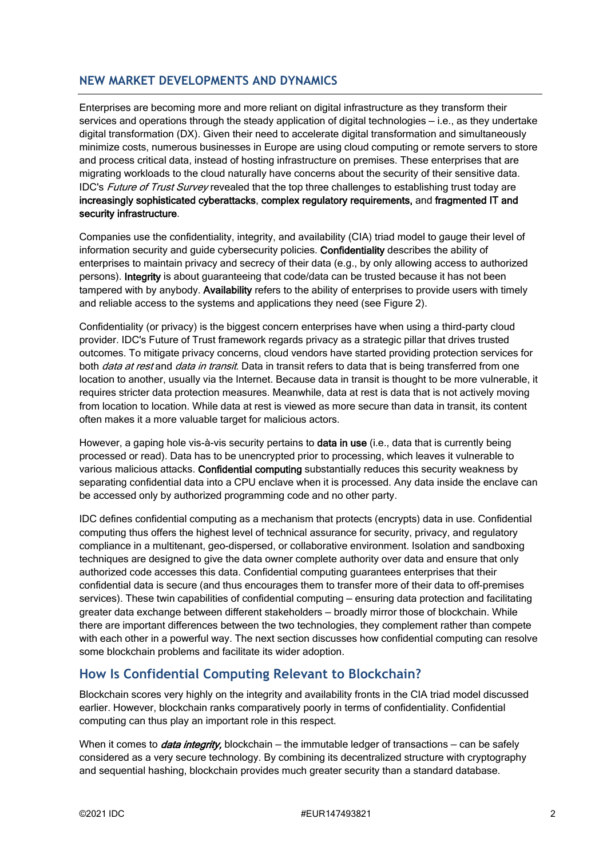# **NEW MARKET DEVELOPMENTS AND DYNAMICS**

Enterprises are becoming more and more reliant on digital infrastructure as they transform their services and operations through the steady application of digital technologies — i.e., as they undertake digital transformation (DX). Given their need to accelerate digital transformation and simultaneously minimize costs, numerous businesses in Europe are using cloud computing or remote servers to store and process critical data, instead of hosting infrastructure on premises. These enterprises that are migrating workloads to the cloud naturally have concerns about the security of their sensitive data. IDC's *Future of Trust Survey* revealed that the top three challenges to establishing trust today are increasingly sophisticated cyberattacks, complex regulatory requirements, and fragmented IT and security infrastructure.

Companies use the confidentiality, integrity, and availability (CIA) triad model to gauge their level of information security and guide cybersecurity policies. Confidentiality describes the ability of enterprises to maintain privacy and secrecy of their data (e.g., by only allowing access to authorized persons). Integrity is about guaranteeing that code/data can be trusted because it has not been tampered with by anybody. Availability refers to the ability of enterprises to provide users with timely and reliable access to the systems and applications they need (see Figure 2).

Confidentiality (or privacy) is the biggest concern enterprises have when using a third-party cloud provider. IDC's Future of Trust framework regards privacy as a strategic pillar that drives trusted outcomes. To mitigate privacy concerns, cloud vendors have started providing protection services for both *data at rest* and *data in transit*. Data in transit refers to data that is being transferred from one location to another, usually via the Internet. Because data in transit is thought to be more vulnerable, it requires stricter data protection measures. Meanwhile, data at rest is data that is not actively moving from location to location. While data at rest is viewed as more secure than data in transit, its content often makes it a more valuable target for malicious actors.

However, a gaping hole vis-à-vis security pertains to **data in use** (i.e., data that is currently being processed or read). Data has to be unencrypted prior to processing, which leaves it vulnerable to various malicious attacks. Confidential computing substantially reduces this security weakness by separating confidential data into a CPU enclave when it is processed. Any data inside the enclave can be accessed only by authorized programming code and no other party.

IDC defines confidential computing as a mechanism that protects (encrypts) data in use. Confidential computing thus offers the highest level of technical assurance for security, privacy, and regulatory compliance in a multitenant, geo-dispersed, or collaborative environment. Isolation and sandboxing techniques are designed to give the data owner complete authority over data and ensure that only authorized code accesses this data. Confidential computing guarantees enterprises that their confidential data is secure (and thus encourages them to transfer more of their data to off-premises services). These twin capabilities of confidential computing — ensuring data protection and facilitating greater data exchange between different stakeholders — broadly mirror those of blockchain. While there are important differences between the two technologies, they complement rather than compete with each other in a powerful way. The next section discusses how confidential computing can resolve some blockchain problems and facilitate its wider adoption.

# **How Is Confidential Computing Relevant to Blockchain?**

Blockchain scores very highly on the integrity and availability fronts in the CIA triad model discussed earlier. However, blockchain ranks comparatively poorly in terms of confidentiality. Confidential computing can thus play an important role in this respect.

When it comes to *data integrity*, blockchain – the immutable ledger of transactions – can be safely considered as a very secure technology. By combining its decentralized structure with cryptography and sequential hashing, blockchain provides much greater security than a standard database.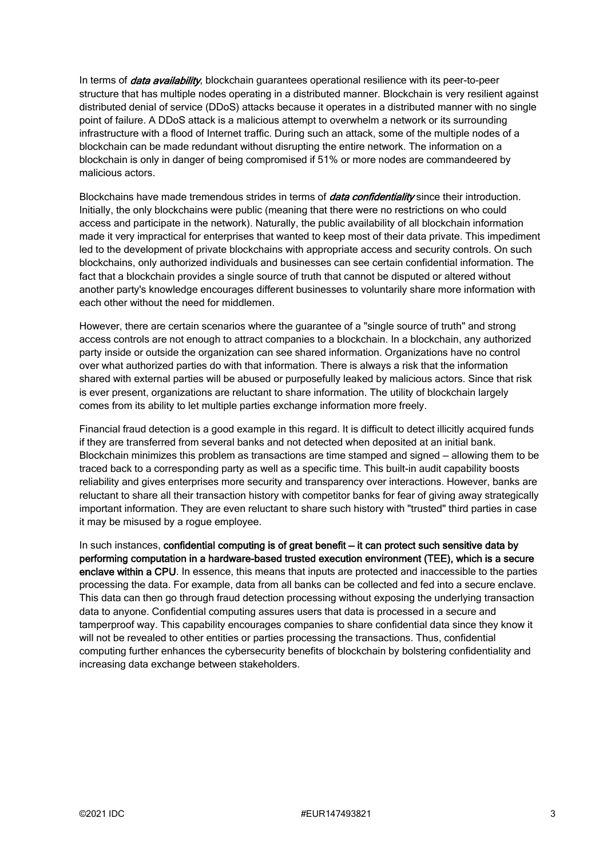In terms of *data availability*, blockchain guarantees operational resilience with its peer-to-peer structure that has multiple nodes operating in a distributed manner. Blockchain is very resilient against distributed denial of service (DDoS) attacks because it operates in a distributed manner with no single point of failure. A DDoS attack is a malicious attempt to overwhelm a network or its surrounding infrastructure with a flood of Internet traffic. During such an attack, some of the multiple nodes of a blockchain can be made redundant without disrupting the entire network. The information on a blockchain is only in danger of being compromised if 51% or more nodes are commandeered by malicious actors.

Blockchains have made tremendous strides in terms of *data confidentiality* since their introduction. Initially, the only blockchains were public (meaning that there were no restrictions on who could access and participate in the network). Naturally, the public availability of all blockchain information made it very impractical for enterprises that wanted to keep most of their data private. This impediment led to the development of private blockchains with appropriate access and security controls. On such blockchains, only authorized individuals and businesses can see certain confidential information. The fact that a blockchain provides a single source of truth that cannot be disputed or altered without another party's knowledge encourages different businesses to voluntarily share more information with each other without the need for middlemen.

However, there are certain scenarios where the guarantee of a "single source of truth" and strong access controls are not enough to attract companies to a blockchain. In a blockchain, any authorized party inside or outside the organization can see shared information. Organizations have no control over what authorized parties do with that information. There is always a risk that the information shared with external parties will be abused or purposefully leaked by malicious actors. Since that risk is ever present, organizations are reluctant to share information. The utility of blockchain largely comes from its ability to let multiple parties exchange information more freely.

Financial fraud detection is a good example in this regard. It is difficult to detect illicitly acquired funds if they are transferred from several banks and not detected when deposited at an initial bank. Blockchain minimizes this problem as transactions are time stamped and signed — allowing them to be traced back to a corresponding party as well as a specific time. This built-in audit capability boosts reliability and gives enterprises more security and transparency over interactions. However, banks are reluctant to share all their transaction history with competitor banks for fear of giving away strategically important information. They are even reluctant to share such history with "trusted" third parties in case it may be misused by a rogue employee.

In such instances, confidential computing is of great benefit – it can protect such sensitive data by performing computation in a hardware-based trusted execution environment (TEE), which is a secure enclave within a CPU. In essence, this means that inputs are protected and inaccessible to the parties processing the data. For example, data from all banks can be collected and fed into a secure enclave. This data can then go through fraud detection processing without exposing the underlying transaction data to anyone. Confidential computing assures users that data is processed in a secure and tamperproof way. This capability encourages companies to share confidential data since they know it will not be revealed to other entities or parties processing the transactions. Thus, confidential computing further enhances the cybersecurity benefits of blockchain by bolstering confidentiality and increasing data exchange between stakeholders.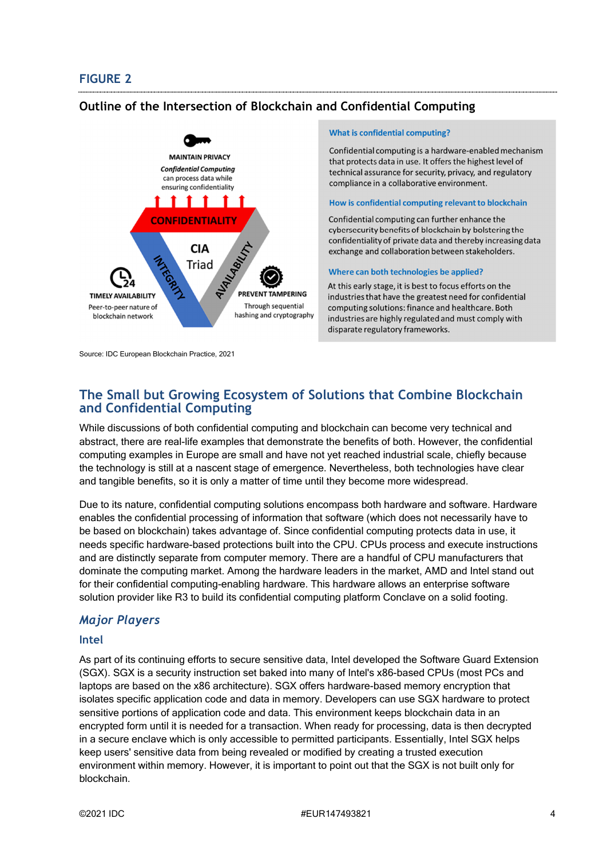## **FIGURE 2**

## **Outline of the Intersection of Blockchain and Confidential Computing**



Source: IDC European Blockchain Practice, 2021

#### **What is confidential computing?**

Confidential computing is a hardware-enabled mechanism that protects data in use. It offers the highest level of technical assurance for security, privacy, and regulatory compliance in a collaborative environment.

#### How is confidential computing relevant to blockchain

Confidential computing can further enhance the cybersecurity benefits of blockchain by bolstering the confidentiality of private data and thereby increasing data exchange and collaboration between stakeholders.

#### Where can both technologies be applied?

At this early stage, it is best to focus efforts on the industries that have the greatest need for confidential computing solutions: finance and healthcare. Both industries are highly regulated and must comply with disparate regulatory frameworks.

# **The Small but Growing Ecosystem of Solutions that Combine Blockchain and Confidential Computing**

While discussions of both confidential computing and blockchain can become very technical and abstract, there are real-life examples that demonstrate the benefits of both. However, the confidential computing examples in Europe are small and have not yet reached industrial scale, chiefly because the technology is still at a nascent stage of emergence. Nevertheless, both technologies have clear and tangible benefits, so it is only a matter of time until they become more widespread.

Due to its nature, confidential computing solutions encompass both hardware and software. Hardware enables the confidential processing of information that software (which does not necessarily have to be based on blockchain) takes advantage of. Since confidential computing protects data in use, it needs specific hardware-based protections built into the CPU. CPUs process and execute instructions and are distinctly separate from computer memory. There are a handful of CPU manufacturers that dominate the computing market. Among the hardware leaders in the market, AMD and Intel stand out for their confidential computing-enabling hardware. This hardware allows an enterprise software solution provider like R3 to build its confidential computing platform Conclave on a solid footing.

## *Major Players*

#### **Intel**

As part of its continuing efforts to secure sensitive data, Intel developed the Software Guard Extension (SGX). SGX is a security instruction set baked into many of Intel's x86-based CPUs (most PCs and laptops are based on the x86 architecture). SGX offers hardware-based memory encryption that isolates specific application code and data in memory. Developers can use SGX hardware to protect sensitive portions of application code and data. This environment keeps blockchain data in an encrypted form until it is needed for a transaction. When ready for processing, data is then decrypted in a secure enclave which is only accessible to permitted participants. Essentially, Intel SGX helps keep users' sensitive data from being revealed or modified by creating a trusted execution environment within memory. However, it is important to point out that the SGX is not built only for blockchain.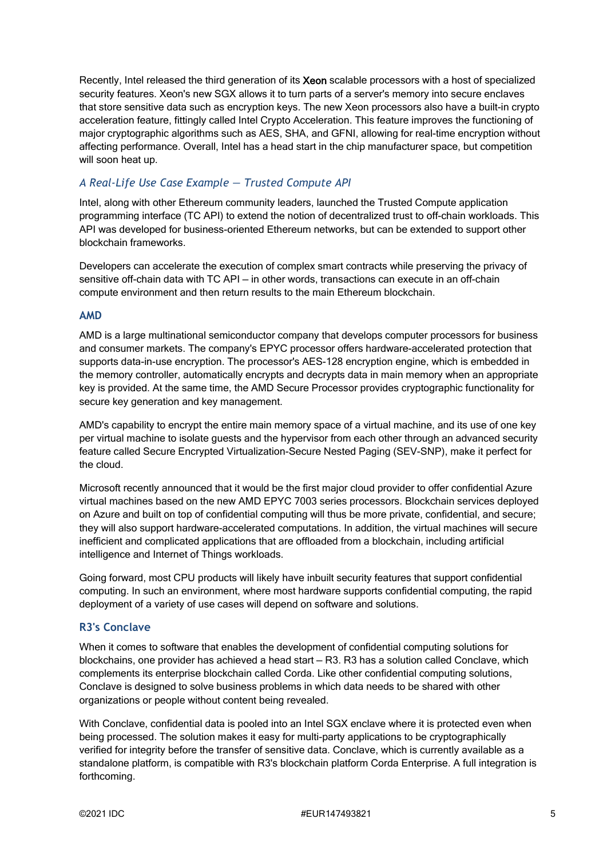Recently, Intel released the third generation of its Xeon scalable processors with a host of specialized security features. Xeon's new SGX allows it to turn parts of a server's memory into secure enclaves that store sensitive data such as encryption keys. The new Xeon processors also have a built-in crypto acceleration feature, fittingly called Intel Crypto Acceleration. This feature improves the functioning of major cryptographic algorithms such as AES, SHA, and GFNI, allowing for real-time encryption without affecting performance. Overall, Intel has a head start in the chip manufacturer space, but competition will soon heat up.

## *A Real-Life Use Case Example — Trusted Compute API*

Intel, along with other Ethereum community leaders, launched the Trusted Compute application programming interface (TC API) to extend the notion of decentralized trust to off-chain workloads. This API was developed for business-oriented Ethereum networks, but can be extended to support other blockchain frameworks.

Developers can accelerate the execution of complex smart contracts while preserving the privacy of sensitive off-chain data with TC API — in other words, transactions can execute in an off-chain compute environment and then return results to the main Ethereum blockchain.

### **AMD**

AMD is a large multinational semiconductor company that develops computer processors for business and consumer markets. The company's EPYC processor offers hardware-accelerated protection that supports data-in-use encryption. The processor's AES-128 encryption engine, which is embedded in the memory controller, automatically encrypts and decrypts data in main memory when an appropriate key is provided. At the same time, the AMD Secure Processor provides cryptographic functionality for secure key generation and key management.

AMD's capability to encrypt the entire main memory space of a virtual machine, and its use of one key per virtual machine to isolate guests and the hypervisor from each other through an advanced security feature called Secure Encrypted Virtualization-Secure Nested Paging (SEV-SNP), make it perfect for the cloud.

Microsoft recently announced that it would be the first major cloud provider to offer confidential Azure virtual machines based on the new AMD EPYC 7003 series processors. Blockchain services deployed on Azure and built on top of confidential computing will thus be more private, confidential, and secure; they will also support hardware-accelerated computations. In addition, the virtual machines will secure inefficient and complicated applications that are offloaded from a blockchain, including artificial intelligence and Internet of Things workloads.

Going forward, most CPU products will likely have inbuilt security features that support confidential computing. In such an environment, where most hardware supports confidential computing, the rapid deployment of a variety of use cases will depend on software and solutions.

### **R3's Conclave**

When it comes to software that enables the development of confidential computing solutions for blockchains, one provider has achieved a head start — R3. R3 has a solution called Conclave, which complements its enterprise blockchain called Corda. Like other confidential computing solutions, Conclave is designed to solve business problems in which data needs to be shared with other organizations or people without content being revealed.

With Conclave, confidential data is pooled into an Intel SGX enclave where it is protected even when being processed. The solution makes it easy for multi-party applications to be cryptographically verified for integrity before the transfer of sensitive data. Conclave, which is currently available as a standalone platform, is compatible with R3's blockchain platform Corda Enterprise. A full integration is forthcoming.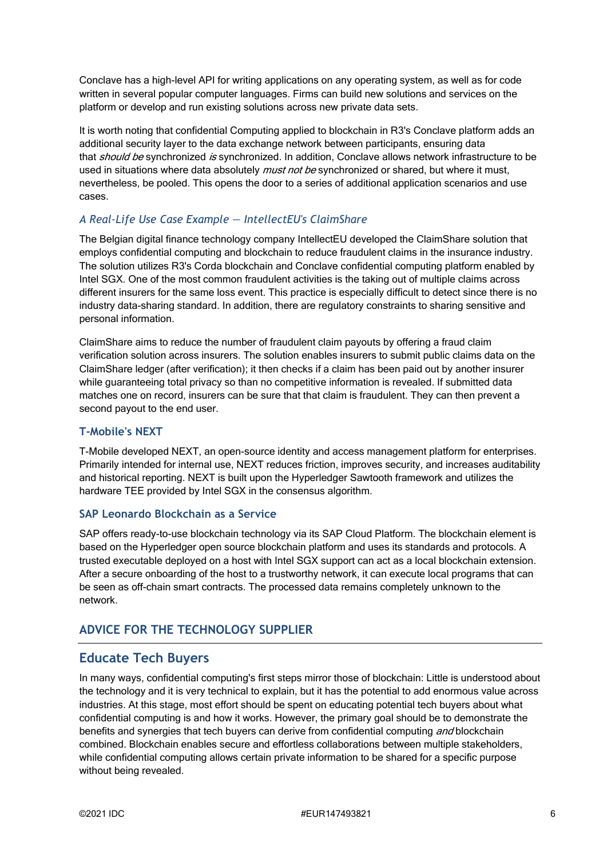Conclave has a high-level API for writing applications on any operating system, as well as for code written in several popular computer languages. Firms can build new solutions and services on the platform or develop and run existing solutions across new private data sets.

It is worth noting that confidential Computing applied to blockchain in R3's Conclave platform adds an additional security layer to the data exchange network between participants, ensuring data that *should be* synchronized is synchronized. In addition, Conclave allows network infrastructure to be used in situations where data absolutely *must not be* synchronized or shared, but where it must, nevertheless, be pooled. This opens the door to a series of additional application scenarios and use cases.

## *A Real-Life Use Case Example — IntellectEU's ClaimShare*

The Belgian digital finance technology company IntellectEU developed the ClaimShare solution that employs confidential computing and blockchain to reduce fraudulent claims in the insurance industry. The solution utilizes R3's Corda blockchain and Conclave confidential computing platform enabled by Intel SGX. One of the most common fraudulent activities is the taking out of multiple claims across different insurers for the same loss event. This practice is especially difficult to detect since there is no industry data-sharing standard. In addition, there are regulatory constraints to sharing sensitive and personal information.

ClaimShare aims to reduce the number of fraudulent claim payouts by offering a fraud claim verification solution across insurers. The solution enables insurers to submit public claims data on the ClaimShare ledger (after verification); it then checks if a claim has been paid out by another insurer while guaranteeing total privacy so than no competitive information is revealed. If submitted data matches one on record, insurers can be sure that that claim is fraudulent. They can then prevent a second payout to the end user.

## **T-Mobile's NEXT**

T-Mobile developed NEXT, an open-source identity and access management platform for enterprises. Primarily intended for internal use, NEXT reduces friction, improves security, and increases auditability and historical reporting. NEXT is built upon the Hyperledger Sawtooth framework and utilizes the hardware TEE provided by Intel SGX in the consensus algorithm.

## **SAP Leonardo Blockchain as a Service**

SAP offers ready-to-use blockchain technology via its SAP Cloud Platform. The blockchain element is based on the Hyperledger open source blockchain platform and uses its standards and protocols. A trusted executable deployed on a host with Intel SGX support can act as a local blockchain extension. After a secure onboarding of the host to a trustworthy network, it can execute local programs that can be seen as off-chain smart contracts. The processed data remains completely unknown to the network.

# **ADVICE FOR THE TECHNOLOGY SUPPLIER**

# **Educate Tech Buyers**

In many ways, confidential computing's first steps mirror those of blockchain: Little is understood about the technology and it is very technical to explain, but it has the potential to add enormous value across industries. At this stage, most effort should be spent on educating potential tech buyers about what confidential computing is and how it works. However, the primary goal should be to demonstrate the benefits and synergies that tech buyers can derive from confidential computing and blockchain combined. Blockchain enables secure and effortless collaborations between multiple stakeholders, while confidential computing allows certain private information to be shared for a specific purpose without being revealed.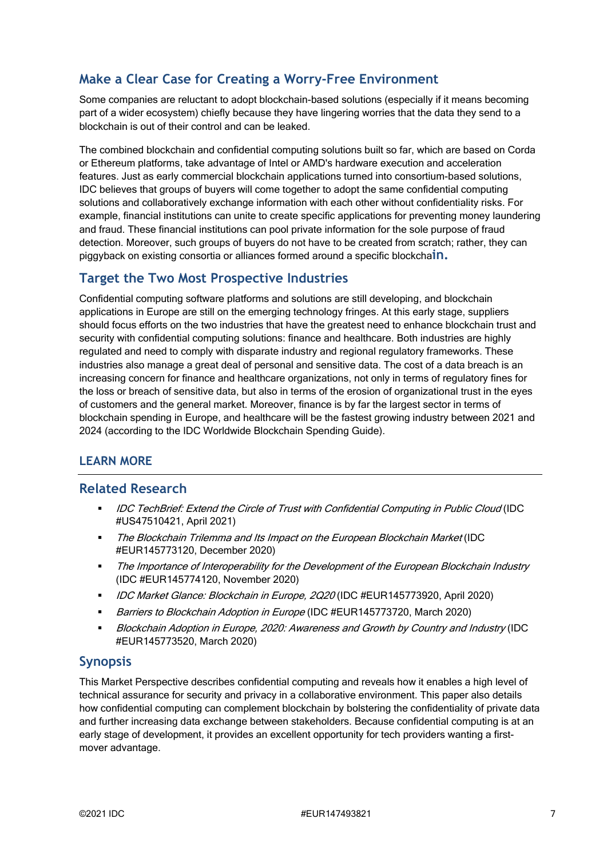# **Make a Clear Case for Creating a Worry-Free Environment**

Some companies are reluctant to adopt blockchain-based solutions (especially if it means becoming part of a wider ecosystem) chiefly because they have lingering worries that the data they send to a blockchain is out of their control and can be leaked.

The combined blockchain and confidential computing solutions built so far, which are based on Corda or Ethereum platforms, take advantage of Intel or AMD's hardware execution and acceleration features. Just as early commercial blockchain applications turned into consortium-based solutions, IDC believes that groups of buyers will come together to adopt the same confidential computing solutions and collaboratively exchange information with each other without confidentiality risks. For example, financial institutions can unite to create specific applications for preventing money laundering and fraud. These financial institutions can pool private information for the sole purpose of fraud detection. Moreover, such groups of buyers do not have to be created from scratch; rather, they can piggyback on existing consortia or alliances formed around a specific blockcha**in.**

# **Target the Two Most Prospective Industries**

Confidential computing software platforms and solutions are still developing, and blockchain applications in Europe are still on the emerging technology fringes. At this early stage, suppliers should focus efforts on the two industries that have the greatest need to enhance blockchain trust and security with confidential computing solutions: finance and healthcare. Both industries are highly regulated and need to comply with disparate industry and regional regulatory frameworks. These industries also manage a great deal of personal and sensitive data. The cost of a data breach is an increasing concern for finance and healthcare organizations, not only in terms of regulatory fines for the loss or breach of sensitive data, but also in terms of the erosion of organizational trust in the eyes of customers and the general market. Moreover, finance is by far the largest sector in terms of blockchain spending in Europe, and healthcare will be the fastest growing industry between 2021 and 2024 (according to the IDC Worldwide Blockchain Spending Guide).

# **LEARN MORE**

# **Related Research**

- IDC TechBrief: Extend the Circle of Trust with Confidential Computing in Public Cloud (IDC #US47510421, April 2021)
- The Blockchain Trilemma and Its Impact on the European Blockchain Market (IDC #EUR145773120, December 2020)
- The Importance of Interoperability for the Development of the European Blockchain Industry (IDC #EUR145774120, November 2020)
- IDC Market Glance: Blockchain in Europe, 2Q20 (IDC #EUR145773920, April 2020)
- Barriers to Blockchain Adoption in Europe (IDC #EUR145773720, March 2020)
- Blockchain Adoption in Europe, 2020: Awareness and Growth by Country and Industry (IDC #EUR145773520, March 2020)

# **Synopsis**

This Market Perspective describes confidential computing and reveals how it enables a high level of technical assurance for security and privacy in a collaborative environment. This paper also details how confidential computing can complement blockchain by bolstering the confidentiality of private data and further increasing data exchange between stakeholders. Because confidential computing is at an early stage of development, it provides an excellent opportunity for tech providers wanting a firstmover advantage.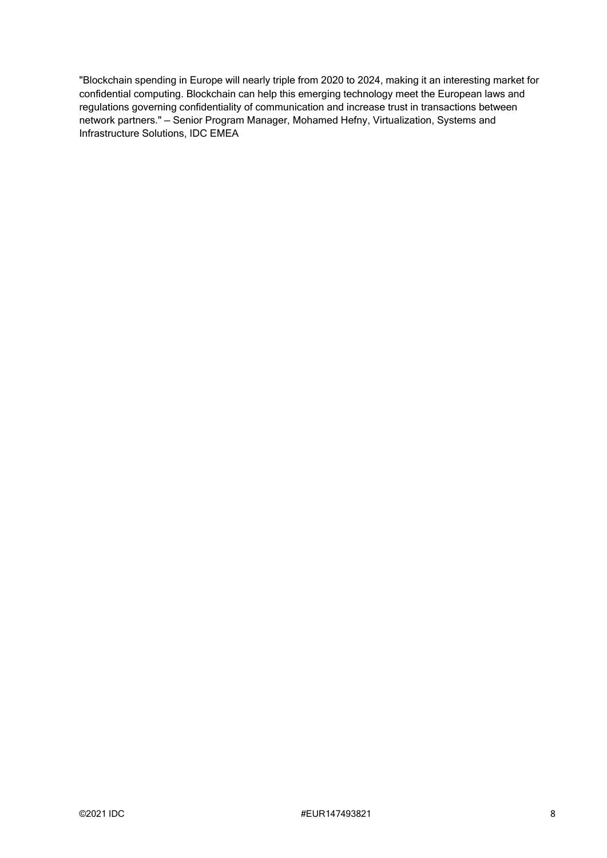"Blockchain spending in Europe will nearly triple from 2020 to 2024, making it an interesting market for confidential computing. Blockchain can help this emerging technology meet the European laws and regulations governing confidentiality of communication and increase trust in transactions between network partners." — Senior Program Manager, Mohamed Hefny, Virtualization, Systems and Infrastructure Solutions, IDC EMEA